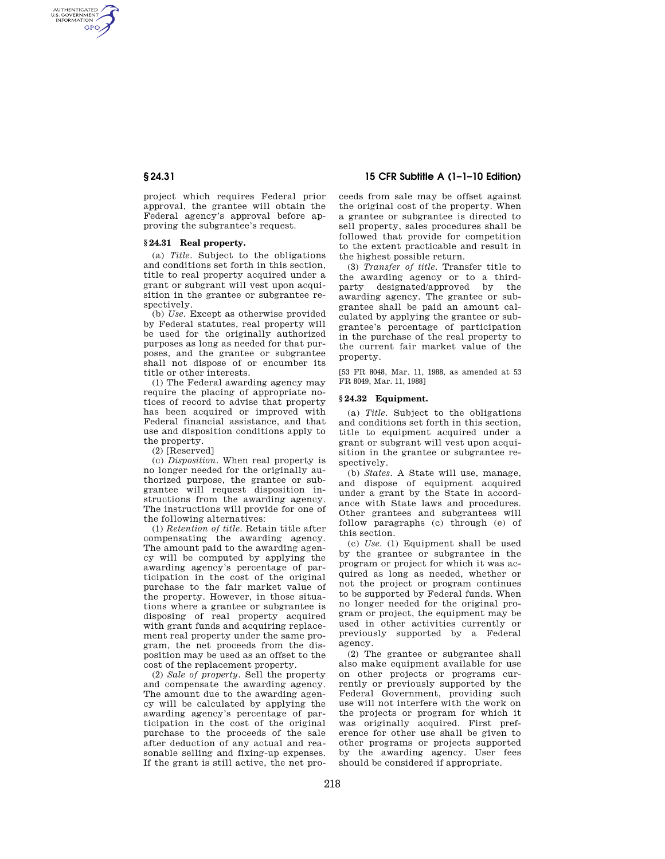AUTHENTICATED<br>U.S. GOVERNMENT<br>INFORMATION **GPO** 

> project which requires Federal prior approval, the grantee will obtain the Federal agency's approval before approving the subgrantee's request.

## **§ 24.31 Real property.**

(a) *Title.* Subject to the obligations and conditions set forth in this section, title to real property acquired under a grant or subgrant will vest upon acquisition in the grantee or subgrantee respectively.

(b) *Use.* Except as otherwise provided by Federal statutes, real property will be used for the originally authorized purposes as long as needed for that purposes, and the grantee or subgrantee shall not dispose of or encumber its title or other interests.

(1) The Federal awarding agency may require the placing of appropriate notices of record to advise that property has been acquired or improved with Federal financial assistance, and that use and disposition conditions apply to the property.

(2) [Reserved]

(c) *Disposition.* When real property is no longer needed for the originally authorized purpose, the grantee or subgrantee will request disposition instructions from the awarding agency. The instructions will provide for one of the following alternatives:

(1) *Retention of title.* Retain title after compensating the awarding agency. The amount paid to the awarding agency will be computed by applying the awarding agency's percentage of participation in the cost of the original purchase to the fair market value of the property. However, in those situations where a grantee or subgrantee is disposing of real property acquired with grant funds and acquiring replacement real property under the same program, the net proceeds from the disposition may be used as an offset to the cost of the replacement property.

(2) *Sale of property.* Sell the property and compensate the awarding agency. The amount due to the awarding agency will be calculated by applying the awarding agency's percentage of participation in the cost of the original purchase to the proceeds of the sale after deduction of any actual and reasonable selling and fixing-up expenses. If the grant is still active, the net pro-

# **§ 24.31 15 CFR Subtitle A (1–1–10 Edition)**

ceeds from sale may be offset against the original cost of the property. When a grantee or subgrantee is directed to sell property, sales procedures shall be followed that provide for competition to the extent practicable and result in the highest possible return.

(3) *Transfer of title.* Transfer title to the awarding agency or to a thirdparty designated/approved by the awarding agency. The grantee or subgrantee shall be paid an amount calculated by applying the grantee or subgrantee's percentage of participation in the purchase of the real property to the current fair market value of the property.

[53 FR 8048, Mar. 11, 1988, as amended at 53 FR 8049, Mar. 11, 1988]

#### **§ 24.32 Equipment.**

(a) *Title.* Subject to the obligations and conditions set forth in this section, title to equipment acquired under a grant or subgrant will vest upon acquisition in the grantee or subgrantee respectively.

(b) *States.* A State will use, manage, and dispose of equipment acquired under a grant by the State in accordance with State laws and procedures. Other grantees and subgrantees will follow paragraphs (c) through (e) of this section.

(c) *Use.* (1) Equipment shall be used by the grantee or subgrantee in the program or project for which it was acquired as long as needed, whether or not the project or program continues to be supported by Federal funds. When no longer needed for the original program or project, the equipment may be used in other activities currently or previously supported by a Federal agency.

(2) The grantee or subgrantee shall also make equipment available for use on other projects or programs currently or previously supported by the Federal Government, providing such use will not interfere with the work on the projects or program for which it was originally acquired. First preference for other use shall be given to other programs or projects supported by the awarding agency. User fees should be considered if appropriate.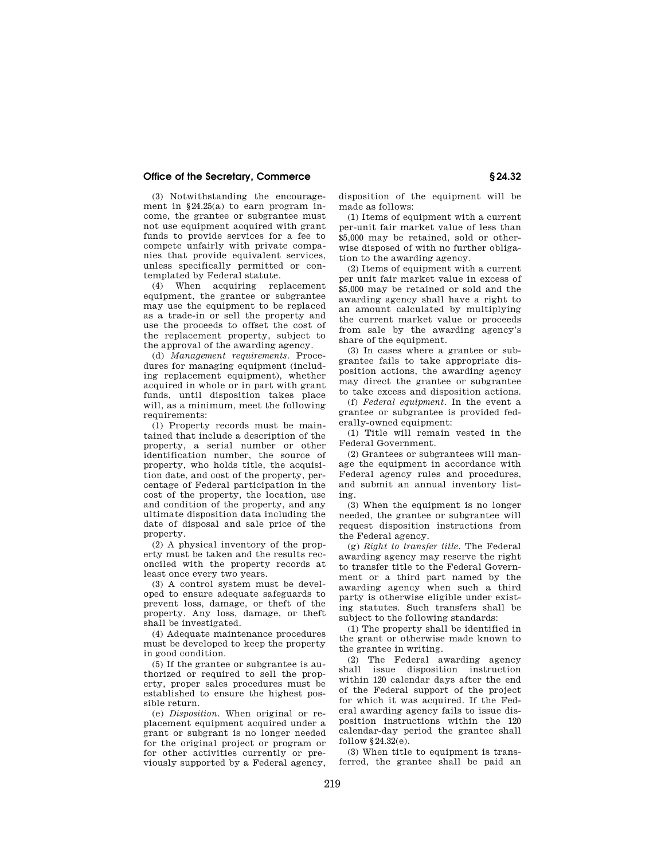## **Office of the Secretary, Commerce § 24.32**

(3) Notwithstanding the encouragement in §24.25(a) to earn program income, the grantee or subgrantee must not use equipment acquired with grant funds to provide services for a fee to compete unfairly with private companies that provide equivalent services, unless specifically permitted or contemplated by Federal statute.

(4) When acquiring replacement equipment, the grantee or subgrantee may use the equipment to be replaced as a trade-in or sell the property and use the proceeds to offset the cost of the replacement property, subject to the approval of the awarding agency.

(d) *Management requirements.* Procedures for managing equipment (including replacement equipment), whether acquired in whole or in part with grant funds, until disposition takes place will, as a minimum, meet the following requirements:

(1) Property records must be maintained that include a description of the property, a serial number or other identification number, the source of property, who holds title, the acquisition date, and cost of the property, percentage of Federal participation in the cost of the property, the location, use and condition of the property, and any ultimate disposition data including the date of disposal and sale price of the property.

(2) A physical inventory of the property must be taken and the results reconciled with the property records at least once every two years.

(3) A control system must be developed to ensure adequate safeguards to prevent loss, damage, or theft of the property. Any loss, damage, or theft shall be investigated.

(4) Adequate maintenance procedures must be developed to keep the property in good condition.

(5) If the grantee or subgrantee is authorized or required to sell the property, proper sales procedures must be established to ensure the highest possible return.

(e) *Disposition.* When original or replacement equipment acquired under a grant or subgrant is no longer needed for the original project or program or for other activities currently or previously supported by a Federal agency, disposition of the equipment will be made as follows:

(1) Items of equipment with a current per-unit fair market value of less than \$5,000 may be retained, sold or otherwise disposed of with no further obligation to the awarding agency.

(2) Items of equipment with a current per unit fair market value in excess of \$5,000 may be retained or sold and the awarding agency shall have a right to an amount calculated by multiplying the current market value or proceeds from sale by the awarding agency's share of the equipment.

(3) In cases where a grantee or subgrantee fails to take appropriate disposition actions, the awarding agency may direct the grantee or subgrantee to take excess and disposition actions.

(f) *Federal equipment.* In the event a grantee or subgrantee is provided federally-owned equipment:

(1) Title will remain vested in the Federal Government.

(2) Grantees or subgrantees will manage the equipment in accordance with Federal agency rules and procedures, and submit an annual inventory listing.

(3) When the equipment is no longer needed, the grantee or subgrantee will request disposition instructions from the Federal agency.

(g) *Right to transfer title.* The Federal awarding agency may reserve the right to transfer title to the Federal Government or a third part named by the awarding agency when such a third party is otherwise eligible under existing statutes. Such transfers shall be subject to the following standards:

(1) The property shall be identified in the grant or otherwise made known to the grantee in writing.

(2) The Federal awarding agency shall issue disposition instruction within 120 calendar days after the end of the Federal support of the project for which it was acquired. If the Federal awarding agency fails to issue disposition instructions within the 120 calendar-day period the grantee shall follow  $§24.32(e)$ .

(3) When title to equipment is transferred, the grantee shall be paid an